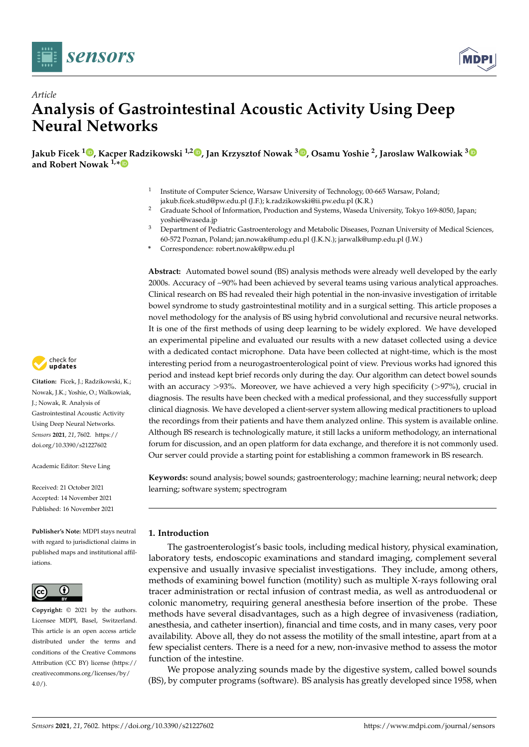



# *Article* **Analysis of Gastrointestinal Acoustic Activity Using Deep Neural Networks**

**Jakub Ficek <sup>1</sup> [,](https://orcid.org/0000-0002-8828-3281) Kacper Radzikowski 1,2 [,](https://orcid.org/0000-0003-0051-2762) Jan Krzysztof Nowak <sup>3</sup> [,](https://orcid.org/0000-0003-0953-2188) Osamu Yoshie <sup>2</sup> , Jaroslaw Walkowiak [3](https://orcid.org/0000-0001-5813-5707) and Robert Nowak 1,[\\*](https://orcid.org/0000-0001-7248-6888)**

- 1 Institute of Computer Science, Warsaw University of Technology, 00-665 Warsaw, Poland; jakub.ficek.stud@pw.edu.pl (J.F.); k.radzikowski@ii.pw.edu.pl (K.R.)
- <sup>2</sup> Graduate School of Information, Production and Systems, Waseda University, Tokyo 169-8050, Japan; yoshie@waseda.jp
- <sup>3</sup> Department of Pediatric Gastroenterology and Metabolic Diseases, Poznan University of Medical Sciences, 60-572 Poznan, Poland; jan.nowak@ump.edu.pl (J.K.N.); jarwalk@ump.edu.pl (J.W.)
- **\*** Correspondence: robert.nowak@pw.edu.pl

**Abstract:** Automated bowel sound (BS) analysis methods were already well developed by the early 2000s. Accuracy of ~90% had been achieved by several teams using various analytical approaches. Clinical research on BS had revealed their high potential in the non-invasive investigation of irritable bowel syndrome to study gastrointestinal motility and in a surgical setting. This article proposes a novel methodology for the analysis of BS using hybrid convolutional and recursive neural networks. It is one of the first methods of using deep learning to be widely explored. We have developed an experimental pipeline and evaluated our results with a new dataset collected using a device with a dedicated contact microphone. Data have been collected at night-time, which is the most interesting period from a neurogastroenterological point of view. Previous works had ignored this period and instead kept brief records only during the day. Our algorithm can detect bowel sounds with an accuracy  $>93\%$ . Moreover, we have achieved a very high specificity ( $>97\%$ ), crucial in diagnosis. The results have been checked with a medical professional, and they successfully support clinical diagnosis. We have developed a client-server system allowing medical practitioners to upload the recordings from their patients and have them analyzed online. This system is available online. Although BS research is technologically mature, it still lacks a uniform methodology, an international forum for discussion, and an open platform for data exchange, and therefore it is not commonly used. Our server could provide a starting point for establishing a common framework in BS research.

**Keywords:** sound analysis; bowel sounds; gastroenterology; machine learning; neural network; deep learning; software system; spectrogram

## <span id="page-0-0"></span>**1. Introduction**

The gastroenterologist's basic tools, including medical history, physical examination, laboratory tests, endoscopic examinations and standard imaging, complement several expensive and usually invasive specialist investigations. They include, among others, methods of examining bowel function (motility) such as multiple X-rays following oral tracer administration or rectal infusion of contrast media, as well as antroduodenal or colonic manometry, requiring general anesthesia before insertion of the probe. These methods have several disadvantages, such as a high degree of invasiveness (radiation, anesthesia, and catheter insertion), financial and time costs, and in many cases, very poor availability. Above all, they do not assess the motility of the small intestine, apart from at a few specialist centers. There is a need for a new, non-invasive method to assess the motor function of the intestine.

We propose analyzing sounds made by the digestive system, called bowel sounds (BS), by computer programs (software). BS analysis has greatly developed since 1958, when



**Citation:** Ficek, J.; Radzikowski, K.; Nowak, J.K.; Yoshie, O.; Walkowiak, J.; Nowak, R. Analysis of Gastrointestinal Acoustic Activity Using Deep Neural Networks. *Sensors* **2021**, *21*, 7602. [https://](https://doi.org/10.3390/s21227602) [doi.org/10.3390/s21227602](https://doi.org/10.3390/s21227602)

Academic Editor: Steve Ling

Received: 21 October 2021 Accepted: 14 November 2021 Published: 16 November 2021

**Publisher's Note:** MDPI stays neutral with regard to jurisdictional claims in published maps and institutional affiliations.



**Copyright:** © 2021 by the authors. Licensee MDPI, Basel, Switzerland. This article is an open access article distributed under the terms and conditions of the Creative Commons Attribution (CC BY) license (https:/[/](https://creativecommons.org/licenses/by/4.0/) [creativecommons.org/licenses/by/](https://creativecommons.org/licenses/by/4.0/)  $4.0/$ ).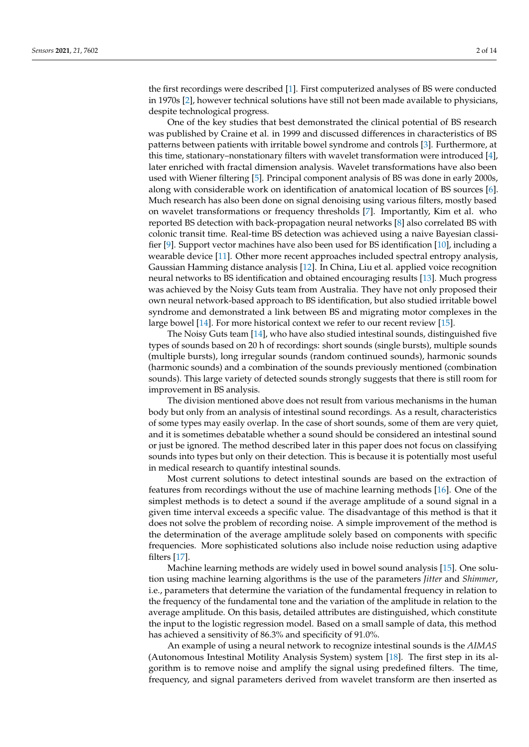the first recordings were described [\[1\]](#page-13-0). First computerized analyses of BS were conducted in 1970s [\[2\]](#page-13-1), however technical solutions have still not been made available to physicians, despite technological progress.

One of the key studies that best demonstrated the clinical potential of BS research was published by Craine et al. in 1999 and discussed differences in characteristics of BS patterns between patients with irritable bowel syndrome and controls [\[3\]](#page-13-2). Furthermore, at this time, stationary–nonstationary filters with wavelet transformation were introduced [\[4\]](#page-13-3), later enriched with fractal dimension analysis. Wavelet transformations have also been used with Wiener filtering [\[5\]](#page-13-4). Principal component analysis of BS was done in early 2000s, along with considerable work on identification of anatomical location of BS sources [\[6\]](#page-13-5). Much research has also been done on signal denoising using various filters, mostly based on wavelet transformations or frequency thresholds [\[7\]](#page-13-6). Importantly, Kim et al. who reported BS detection with back-propagation neural networks [\[8\]](#page-13-7) also correlated BS with colonic transit time. Real-time BS detection was achieved using a naive Bayesian classifier [\[9\]](#page-13-8). Support vector machines have also been used for BS identification [\[10\]](#page-13-9), including a wearable device [\[11\]](#page-13-10). Other more recent approaches included spectral entropy analysis, Gaussian Hamming distance analysis [\[12\]](#page-13-11). In China, Liu et al. applied voice recognition neural networks to BS identification and obtained encouraging results [\[13\]](#page-13-12). Much progress was achieved by the Noisy Guts team from Australia. They have not only proposed their own neural network-based approach to BS identification, but also studied irritable bowel syndrome and demonstrated a link between BS and migrating motor complexes in the large bowel [\[14\]](#page-13-13). For more historical context we refer to our recent review [\[15\]](#page-13-14).

The Noisy Guts team [\[14\]](#page-13-13), who have also studied intestinal sounds, distinguished five types of sounds based on 20 h of recordings: short sounds (single bursts), multiple sounds (multiple bursts), long irregular sounds (random continued sounds), harmonic sounds (harmonic sounds) and a combination of the sounds previously mentioned (combination sounds). This large variety of detected sounds strongly suggests that there is still room for improvement in BS analysis.

The division mentioned above does not result from various mechanisms in the human body but only from an analysis of intestinal sound recordings. As a result, characteristics of some types may easily overlap. In the case of short sounds, some of them are very quiet, and it is sometimes debatable whether a sound should be considered an intestinal sound or just be ignored. The method described later in this paper does not focus on classifying sounds into types but only on their detection. This is because it is potentially most useful in medical research to quantify intestinal sounds.

Most current solutions to detect intestinal sounds are based on the extraction of features from recordings without the use of machine learning methods [\[16\]](#page-13-15). One of the simplest methods is to detect a sound if the average amplitude of a sound signal in a given time interval exceeds a specific value. The disadvantage of this method is that it does not solve the problem of recording noise. A simple improvement of the method is the determination of the average amplitude solely based on components with specific frequencies. More sophisticated solutions also include noise reduction using adaptive filters [\[17\]](#page-13-16).

Machine learning methods are widely used in bowel sound analysis [\[15\]](#page-13-14). One solution using machine learning algorithms is the use of the parameters *Jitter* and *Shimmer*, i.e., parameters that determine the variation of the fundamental frequency in relation to the frequency of the fundamental tone and the variation of the amplitude in relation to the average amplitude. On this basis, detailed attributes are distinguished, which constitute the input to the logistic regression model. Based on a small sample of data, this method has achieved a sensitivity of 86.3% and specificity of 91.0%.

An example of using a neural network to recognize intestinal sounds is the *AIMAS* (Autonomous Intestinal Motility Analysis System) system [\[18\]](#page-13-17). The first step in its algorithm is to remove noise and amplify the signal using predefined filters. The time, frequency, and signal parameters derived from wavelet transform are then inserted as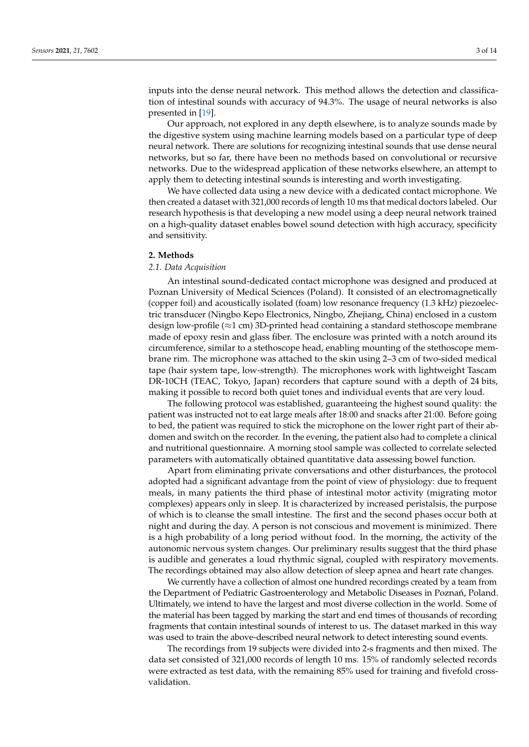inputs into the dense neural network. This method allows the detection and classification of intestinal sounds with accuracy of 94.3%. The usage of neural networks is also presented in [\[19\]](#page-13-18).

Our approach, not explored in any depth elsewhere, is to analyze sounds made by the digestive system using machine learning models based on a particular type of deep neural network. There are solutions for recognizing intestinal sounds that use dense neural networks, but so far, there have been no methods based on convolutional or recursive networks. Due to the widespread application of these networks elsewhere, an attempt to apply them to detecting intestinal sounds is interesting and worth investigating.

We have collected data using a new device with a dedicated contact microphone. We then created a dataset with 321,000 records of length 10 ms that medical doctors labeled. Our research hypothesis is that developing a new model using a deep neural network trained on a high-quality dataset enables bowel sound detection with high accuracy, specificity and sensitivity.

## **2. Methods**

## *2.1. Data Acquisition*

An intestinal sound-dedicated contact microphone was designed and produced at Poznan University of Medical Sciences (Poland). It consisted of an electromagnetically (copper foil) and acoustically isolated (foam) low resonance frequency (1.3 kHz) piezoelectric transducer (Ningbo Kepo Electronics, Ningbo, Zhejiang, China) enclosed in a custom design low-profile ( $\approx$ 1 cm) 3D-printed head containing a standard stethoscope membrane made of epoxy resin and glass fiber. The enclosure was printed with a notch around its circumference, similar to a stethoscope head, enabling mounting of the stethoscope membrane rim. The microphone was attached to the skin using 2–3 cm of two-sided medical tape (hair system tape, low-strength). The microphones work with lightweight Tascam DR-10CH (TEAC, Tokyo, Japan) recorders that capture sound with a depth of 24 bits, making it possible to record both quiet tones and individual events that are very loud.

The following protocol was established, guaranteeing the highest sound quality: the patient was instructed not to eat large meals after 18:00 and snacks after 21:00. Before going to bed, the patient was required to stick the microphone on the lower right part of their abdomen and switch on the recorder. In the evening, the patient also had to complete a clinical and nutritional questionnaire. A morning stool sample was collected to correlate selected parameters with automatically obtained quantitative data assessing bowel function.

Apart from eliminating private conversations and other disturbances, the protocol adopted had a significant advantage from the point of view of physiology: due to frequent meals, in many patients the third phase of intestinal motor activity (migrating motor complexes) appears only in sleep. It is characterized by increased peristalsis, the purpose of which is to cleanse the small intestine. The first and the second phases occur both at night and during the day. A person is not conscious and movement is minimized. There is a high probability of a long period without food. In the morning, the activity of the autonomic nervous system changes. Our preliminary results suggest that the third phase is audible and generates a loud rhythmic signal, coupled with respiratory movements. The recordings obtained may also allow detection of sleep apnea and heart rate changes.

We currently have a collection of almost one hundred recordings created by a team from the Department of Pediatric Gastroenterology and Metabolic Diseases in Poznań, Poland. Ultimately, we intend to have the largest and most diverse collection in the world. Some of the material has been tagged by marking the start and end times of thousands of recording fragments that contain intestinal sounds of interest to us. The dataset marked in this way was used to train the above-described neural network to detect interesting sound events.

The recordings from 19 subjects were divided into 2-s fragments and then mixed. The data set consisted of 321,000 records of length 10 ms. 15% of randomly selected records were extracted as test data, with the remaining 85% used for training and fivefold crossvalidation.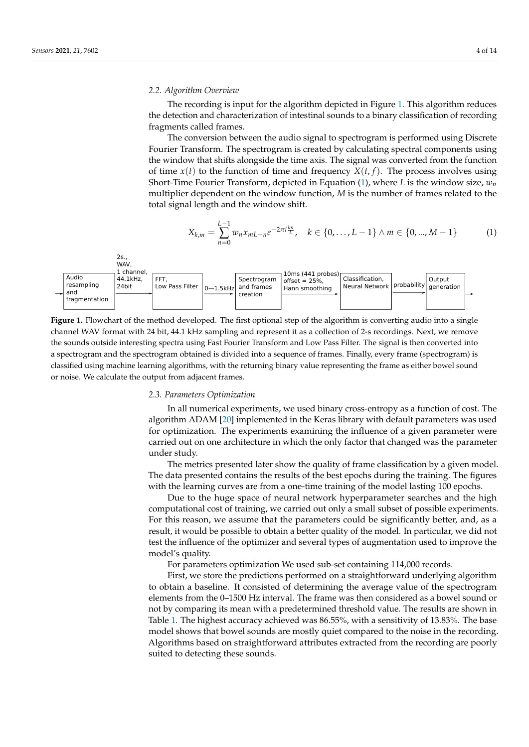## *2.2. Algorithm Overview*

The recording is input for the algorithm depicted in Figure [1.](#page-3-0) This algorithm reduces the detection and characterization of intestinal sounds to a binary classification of recording fragments called frames.

The conversion between the audio signal to spectrogram is performed using Discrete Fourier Transform. The spectrogram is created by calculating spectral components using the window that shifts alongside the time axis. The signal was converted from the function of time  $x(t)$  to the function of time and frequency  $X(t, f)$ . The process involves using Short-Time Fourier Transform, depicted in Equation [\(1\)](#page-3-1), where *L* is the window size, *w<sup>n</sup>* multiplier dependent on the window function, *M* is the number of frames related to the total signal length and the window shift.

<span id="page-3-1"></span>
$$
X_{k,m} = \sum_{n=0}^{L-1} w_n x_{mL+n} e^{-2\pi i \frac{kn}{L}}, \quad k \in \{0, \ldots, L-1\} \wedge m \in \{0, \ldots, M-1\}
$$
 (1)

<span id="page-3-0"></span>

**Figure 1.** Flowchart of the method developed. The first optional step of the algorithm is converting audio into a single channel WAV format with 24 bit, 44.1 kHz sampling and represent it as a collection of 2-s recordings. Next, we remove the sounds outside interesting spectra using Fast Fourier Transform and Low Pass Filter. The signal is then converted into a spectrogram and the spectrogram obtained is divided into a sequence of frames. Finally, every frame (spectrogram) is classified using machine learning algorithms, with the returning binary value representing the frame as either bowel sound or noise. We calculate the output from adjacent frames.

#### *2.3. Parameters Optimization*

In all numerical experiments, we used binary cross-entropy as a function of cost. The algorithm ADAM [\[20\]](#page-13-19) implemented in the Keras library with default parameters was used for optimization. The experiments examining the influence of a given parameter were carried out on one architecture in which the only factor that changed was the parameter under study.

The metrics presented later show the quality of frame classification by a given model. The data presented contains the results of the best epochs during the training. The figures with the learning curves are from a one-time training of the model lasting 100 epochs.

Due to the huge space of neural network hyperparameter searches and the high computational cost of training, we carried out only a small subset of possible experiments. For this reason, we assume that the parameters could be significantly better, and, as a result, it would be possible to obtain a better quality of the model. In particular, we did not test the influence of the optimizer and several types of augmentation used to improve the model's quality.

For parameters optimization We used sub-set containing 114,000 records.

First, we store the predictions performed on a straightforward underlying algorithm to obtain a baseline. It consisted of determining the average value of the spectrogram elements from the 0–1500 Hz interval. The frame was then considered as a bowel sound or not by comparing its mean with a predetermined threshold value. The results are shown in Table [1.](#page-4-0) The highest accuracy achieved was 86.55%, with a sensitivity of 13.83%. The base model shows that bowel sounds are mostly quiet compared to the noise in the recording. Algorithms based on straightforward attributes extracted from the recording are poorly suited to detecting these sounds.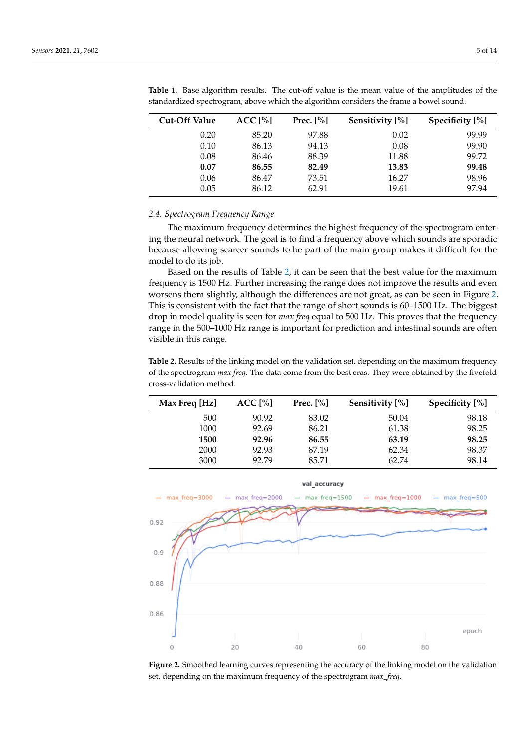| <b>Cut-Off Value</b> | ACC [%] | Prec. $[\%]$ | Sensitivity [%] | Specificity [%] |
|----------------------|---------|--------------|-----------------|-----------------|
| 0.20                 | 85.20   | 97.88        | 0.02            | 99.99           |
| 0.10                 | 86.13   | 94.13        | 0.08            | 99.90           |
| 0.08                 | 86.46   | 88.39        | 11.88           | 99.72           |
| 0.07                 | 86.55   | 82.49        | 13.83           | 99.48           |
| 0.06                 | 86.47   | 73.51        | 16.27           | 98.96           |
| 0.05                 | 86.12   | 62.91        | 19.61           | 97.94           |

<span id="page-4-0"></span>**Table 1.** Base algorithm results. The cut-off value is the mean value of the amplitudes of the standardized spectrogram, above which the algorithm considers the frame a bowel sound.

## *2.4. Spectrogram Frequency Range*

The maximum frequency determines the highest frequency of the spectrogram entering the neural network. The goal is to find a frequency above which sounds are sporadic because allowing scarcer sounds to be part of the main group makes it difficult for the model to do its job.

Based on the results of Table [2,](#page-4-1) it can be seen that the best value for the maximum frequency is 1500 Hz. Further increasing the range does not improve the results and even worsens them slightly, although the differences are not great, as can be seen in Figure [2.](#page-4-2) This is consistent with the fact that the range of short sounds is 60–1500 Hz. The biggest drop in model quality is seen for *max freq* equal to 500 Hz. This proves that the frequency range in the 500–1000 Hz range is important for prediction and intestinal sounds are often visible in this range.

<span id="page-4-1"></span>**Table 2.** Results of the linking model on the validation set, depending on the maximum frequency of the spectrogram *max freq*. The data come from the best eras. They were obtained by the fivefold cross-validation method.

| Max Freq [Hz] | ACC [%] | Prec. $[\%]$ | Sensitivity [%] | Specificity [%] |
|---------------|---------|--------------|-----------------|-----------------|
| 500           | 90.92   | 83.02        | 50.04           | 98.18           |
| 1000          | 92.69   | 86.21        | 61.38           | 98.25           |
| 1500          | 92.96   | 86.55        | 63.19           | 98.25           |
| 2000          | 92.93   | 87.19        | 62.34           | 98.37           |
| 3000          | 92.79   | 85.71        | 62.74           | 98.14           |

<span id="page-4-2"></span>

**Figure 2.** Smoothed learning curves representing the accuracy of the linking model on the validation set, depending on the maximum frequency of the spectrogram *max\_freq*.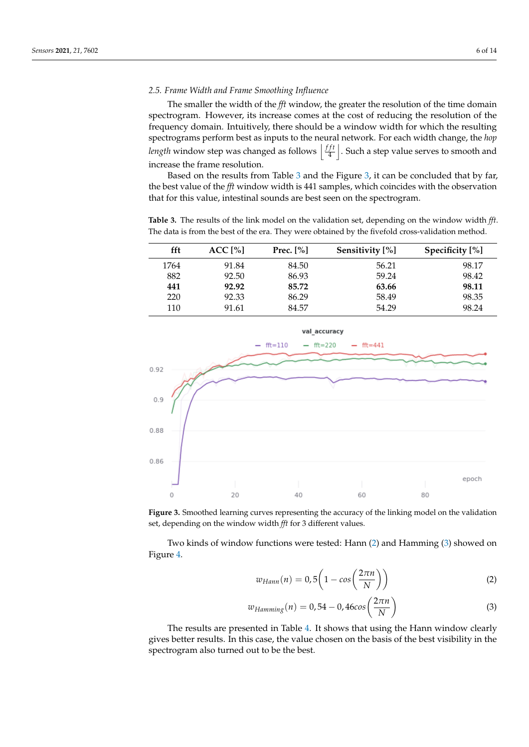## *2.5. Frame Width and Frame Smoothing Influence*

The smaller the width of the *fft* window, the greater the resolution of the time domain spectrogram. However, its increase comes at the cost of reducing the resolution of the frequency domain. Intuitively, there should be a window width for which the resulting spectrograms perform best as inputs to the neural network. For each width change, the *hop length* window step was changed as follows  $\frac{f}{4}$  $\left| \frac{f}{4} \right|$  . Such a step value serves to smooth and increase the frame resolution.

Based on the results from Table [3](#page-5-0) and the Figure [3,](#page-5-1) it can be concluded that by far, the best value of the *fft* window width is 441 samples, which coincides with the observation that for this value, intestinal sounds are best seen on the spectrogram.

<span id="page-5-0"></span>**Table 3.** The results of the link model on the validation set, depending on the window width *fft*. The data is from the best of the era. They were obtained by the fivefold cross-validation method.

| fft  | ACC [%] | Prec. $[\%]$ | Sensitivity [%] | Specificity [%] |
|------|---------|--------------|-----------------|-----------------|
| 1764 | 91.84   | 84.50        | 56.21           | 98.17           |
| 882  | 92.50   | 86.93        | 59.24           | 98.42           |
| 441  | 92.92   | 85.72        | 63.66           | 98.11           |
| 220  | 92.33   | 86.29        | 58.49           | 98.35           |
| 110  | 91.61   | 84.57        | 54.29           | 98.24           |

<span id="page-5-1"></span>



Two kinds of window functions were tested: Hann [\(2\)](#page-5-2) and Hamming [\(3\)](#page-5-3) showed on Figure [4.](#page-6-0)

<span id="page-5-2"></span>
$$
w_{Hamn}(n) = 0,5\left(1 - \cos\left(\frac{2\pi n}{N}\right)\right) \tag{2}
$$

<span id="page-5-3"></span>
$$
w_{Hamming}(n) = 0,54 - 0,46\cos\left(\frac{2\pi n}{N}\right)
$$
\n(3)

The results are presented in Table [4.](#page-6-1) It shows that using the Hann window clearly gives better results. In this case, the value chosen on the basis of the best visibility in the spectrogram also turned out to be the best.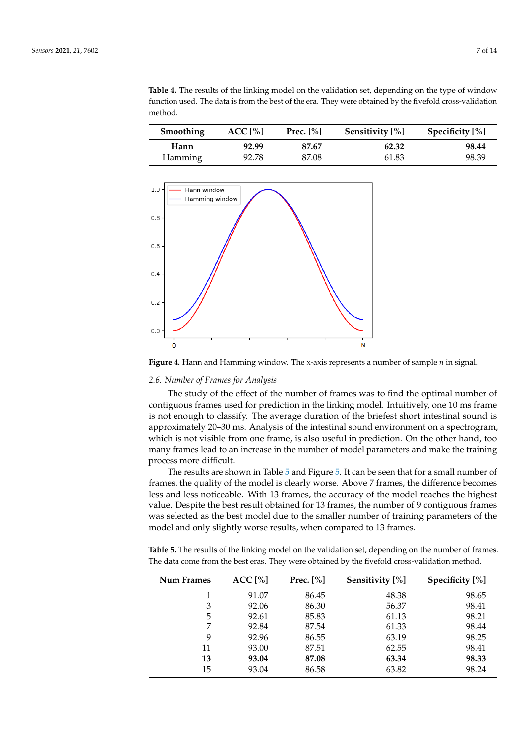| Smoothing      | ACC <sub>1%</sub> | Prec. $[\%]$ | Sensitivity [%] | Specificity $[\%]$ |
|----------------|-------------------|--------------|-----------------|--------------------|
| Hann           | 92.99             | 87.67        | 62.32           | 98.44              |
| <b>Hamming</b> | 92.78             | 87.08        | 61.83           | 98.39              |

<span id="page-6-1"></span>**Table 4.** The results of the linking model on the validation set, depending on the type of window function used. The data is from the best of the era. They were obtained by the fivefold cross-validation method.

<span id="page-6-0"></span>

**Figure 4.** Hann and Hamming window. The x-axis represents a number of sample *n* in signal.

#### *2.6. Number of Frames for Analysis*

The study of the effect of the number of frames was to find the optimal number of contiguous frames used for prediction in the linking model. Intuitively, one 10 ms frame is not enough to classify. The average duration of the briefest short intestinal sound is approximately 20–30 ms. Analysis of the intestinal sound environment on a spectrogram, which is not visible from one frame, is also useful in prediction. On the other hand, too many frames lead to an increase in the number of model parameters and make the training process more difficult.

The results are shown in Table [5](#page-6-2) and Figure [5.](#page-7-0) It can be seen that for a small number of frames, the quality of the model is clearly worse. Above 7 frames, the difference becomes less and less noticeable. With 13 frames, the accuracy of the model reaches the highest value. Despite the best result obtained for 13 frames, the number of 9 contiguous frames was selected as the best model due to the smaller number of training parameters of the model and only slightly worse results, when compared to 13 frames.

<span id="page-6-2"></span>**Table 5.** The results of the linking model on the validation set, depending on the number of frames. The data come from the best eras. They were obtained by the fivefold cross-validation method.

| Num Frames | ACC[%] | Prec. $[\%]$ | Sensitivity [%] | Specificity $[\%]$ |
|------------|--------|--------------|-----------------|--------------------|
|            | 91.07  | 86.45        | 48.38           | 98.65              |
| 3          | 92.06  | 86.30        | 56.37           | 98.41              |
| 5          | 92.61  | 85.83        | 61.13           | 98.21              |
|            | 92.84  | 87.54        | 61.33           | 98.44              |
| 9          | 92.96  | 86.55        | 63.19           | 98.25              |
| 11         | 93.00  | 87.51        | 62.55           | 98.41              |
| 13         | 93.04  | 87.08        | 63.34           | 98.33              |
| 15         | 93.04  | 86.58        | 63.82           | 98.24              |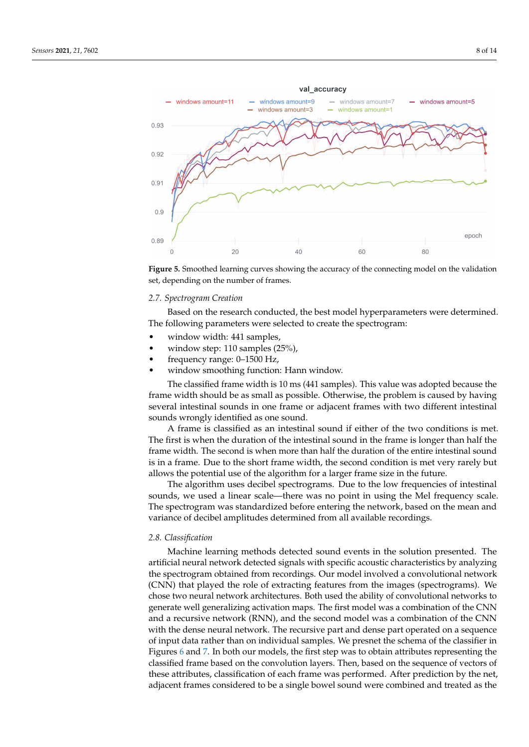<span id="page-7-0"></span>

**Figure 5.** Smoothed learning curves showing the accuracy of the connecting model on the validation set, depending on the number of frames.

## *2.7. Spectrogram Creation*

Based on the research conducted, the best model hyperparameters were determined. The following parameters were selected to create the spectrogram:

- window width: 441 samples,
- window step: 110 samples (25%),
- frequency range: 0–1500 Hz,
- window smoothing function: Hann window.

The classified frame width is 10 ms (441 samples). This value was adopted because the frame width should be as small as possible. Otherwise, the problem is caused by having several intestinal sounds in one frame or adjacent frames with two different intestinal sounds wrongly identified as one sound.

A frame is classified as an intestinal sound if either of the two conditions is met. The first is when the duration of the intestinal sound in the frame is longer than half the frame width. The second is when more than half the duration of the entire intestinal sound is in a frame. Due to the short frame width, the second condition is met very rarely but allows the potential use of the algorithm for a larger frame size in the future.

The algorithm uses decibel spectrograms. Due to the low frequencies of intestinal sounds, we used a linear scale—there was no point in using the Mel frequency scale. The spectrogram was standardized before entering the network, based on the mean and variance of decibel amplitudes determined from all available recordings.

## *2.8. Classification*

Machine learning methods detected sound events in the solution presented. The artificial neural network detected signals with specific acoustic characteristics by analyzing the spectrogram obtained from recordings. Our model involved a convolutional network (CNN) that played the role of extracting features from the images (spectrograms). We chose two neural network architectures. Both used the ability of convolutional networks to generate well generalizing activation maps. The first model was a combination of the CNN and a recursive network (RNN), and the second model was a combination of the CNN with the dense neural network. The recursive part and dense part operated on a sequence of input data rather than on individual samples. We presnet the schema of the classifier in Figures [6](#page-8-0) and [7.](#page-8-1) In both our models, the first step was to obtain attributes representing the classified frame based on the convolution layers. Then, based on the sequence of vectors of these attributes, classification of each frame was performed. After prediction by the net, adjacent frames considered to be a single bowel sound were combined and treated as the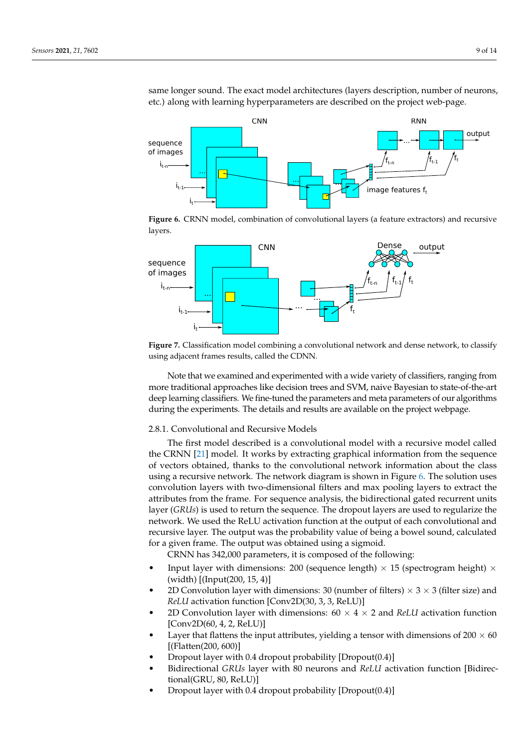same longer sound. The exact model architectures (layers description, number of neurons, etc.) along with learning hyperparameters are described on the project web-page.

<span id="page-8-0"></span>

**Figure 6.** CRNN model, combination of convolutional layers (a feature extractors) and recursive layers.

<span id="page-8-1"></span>

**Figure 7.** Classification model combining a convolutional network and dense network, to classify using adjacent frames results, called the CDNN.

Note that we examined and experimented with a wide variety of classifiers, ranging from more traditional approaches like decision trees and SVM, naive Bayesian to state-of-the-art deep learning classifiers. We fine-tuned the parameters and meta parameters of our algorithms during the experiments. The details and results are available on the project webpage.

#### 2.8.1. Convolutional and Recursive Models

The first model described is a convolutional model with a recursive model called the CRNN [\[21\]](#page-13-20) model. It works by extracting graphical information from the sequence of vectors obtained, thanks to the convolutional network information about the class using a recursive network. The network diagram is shown in Figure [6.](#page-8-0) The solution uses convolution layers with two-dimensional filters and max pooling layers to extract the attributes from the frame. For sequence analysis, the bidirectional gated recurrent units layer (*GRUs*) is used to return the sequence. The dropout layers are used to regularize the network. We used the ReLU activation function at the output of each convolutional and recursive layer. The output was the probability value of being a bowel sound, calculated for a given frame. The output was obtained using a sigmoid.

CRNN has 342,000 parameters, it is composed of the following:

- Input layer with dimensions: 200 (sequence length)  $\times$  15 (spectrogram height)  $\times$ (width) [(Input(200, 15, 4)]
- 2D Convolution layer with dimensions: 30 (number of filters)  $\times$  3  $\times$  3 (filter size) and *ReLU* activation function [Conv2D(30, 3, 3, ReLU)]
- 2D Convolution layer with dimensions:  $60 \times 4 \times 2$  and *ReLU* activation function [Conv2D(60, 4, 2, ReLU)]
- Layer that flattens the input attributes, yielding a tensor with dimensions of  $200 \times 60$ [(Flatten(200, 600)]
- Dropout layer with 0.4 dropout probability [Dropout(0.4)]
- Bidirectional *GRUs* layer with 80 neurons and *ReLU* activation function [Bidirectional(GRU, 80, ReLU)]
- Dropout layer with 0.4 dropout probability [Dropout(0.4)]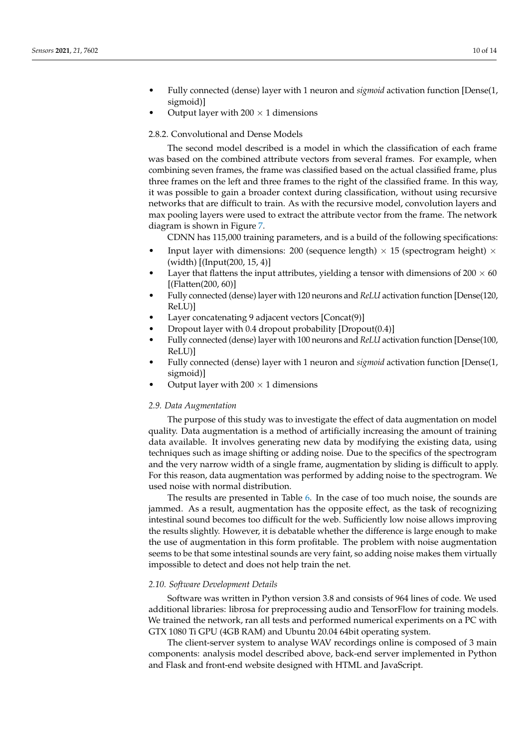- Fully connected (dense) layer with 1 neuron and *sigmoid* activation function [Dense(1, sigmoid)]
- Output layer with  $200 \times 1$  dimensions

## 2.8.2. Convolutional and Dense Models

The second model described is a model in which the classification of each frame was based on the combined attribute vectors from several frames. For example, when combining seven frames, the frame was classified based on the actual classified frame, plus three frames on the left and three frames to the right of the classified frame. In this way, it was possible to gain a broader context during classification, without using recursive networks that are difficult to train. As with the recursive model, convolution layers and max pooling layers were used to extract the attribute vector from the frame. The network diagram is shown in Figure [7.](#page-8-1)

CDNN has 115,000 training parameters, and is a build of the following specifications:

- Input layer with dimensions: 200 (sequence length)  $\times$  15 (spectrogram height)  $\times$ (width) [(Input(200, 15, 4)]
- Layer that flattens the input attributes, yielding a tensor with dimensions of  $200 \times 60$ [(Flatten(200, 60)]
- Fully connected (dense) layer with 120 neurons and *ReLU* activation function [Dense(120, ReLU)]
- Layer concatenating 9 adjacent vectors [Concat(9)]
- Dropout layer with 0.4 dropout probability [Dropout(0.4)]
- Fully connected (dense) layer with 100 neurons and *ReLU* activation function [Dense(100, ReLU)]
- Fully connected (dense) layer with 1 neuron and *sigmoid* activation function [Dense(1, sigmoid)]
- Output layer with  $200 \times 1$  dimensions

## *2.9. Data Augmentation*

The purpose of this study was to investigate the effect of data augmentation on model quality. Data augmentation is a method of artificially increasing the amount of training data available. It involves generating new data by modifying the existing data, using techniques such as image shifting or adding noise. Due to the specifics of the spectrogram and the very narrow width of a single frame, augmentation by sliding is difficult to apply. For this reason, data augmentation was performed by adding noise to the spectrogram. We used noise with normal distribution.

The results are presented in Table [6.](#page-10-0) In the case of too much noise, the sounds are jammed. As a result, augmentation has the opposite effect, as the task of recognizing intestinal sound becomes too difficult for the web. Sufficiently low noise allows improving the results slightly. However, it is debatable whether the difference is large enough to make the use of augmentation in this form profitable. The problem with noise augmentation seems to be that some intestinal sounds are very faint, so adding noise makes them virtually impossible to detect and does not help train the net.

#### *2.10. Software Development Details*

Software was written in Python version 3.8 and consists of 964 lines of code. We used additional libraries: librosa for preprocessing audio and TensorFlow for training models. We trained the network, ran all tests and performed numerical experiments on a PC with GTX 1080 Ti GPU (4GB RAM) and Ubuntu 20.04 64bit operating system.

The client-server system to analyse WAV recordings online is composed of 3 main components: analysis model described above, back-end server implemented in Python and Flask and front-end website designed with HTML and JavaScript.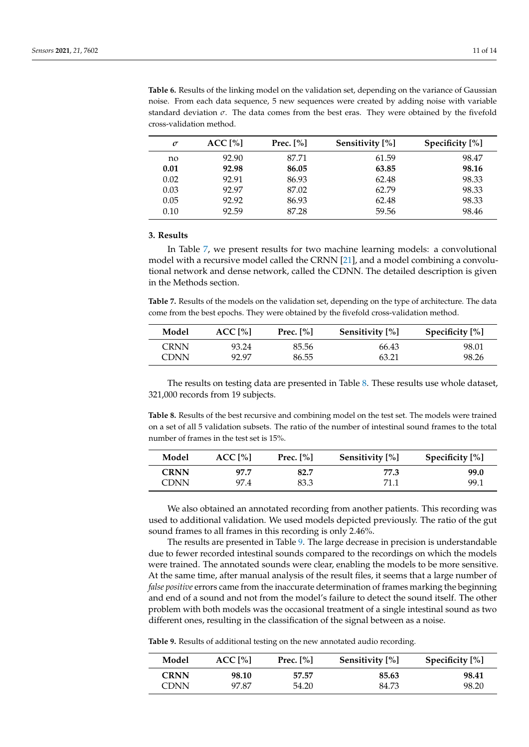| $\sigma$ | ACC <sub>[%]</sub> | Prec. $[\%]$ | Sensitivity [%] | Specificity [%] |
|----------|--------------------|--------------|-----------------|-----------------|
| no       | 92.90              | 87.71        | 61.59           | 98.47           |
| 0.01     | 92.98              | 86.05        | 63.85           | 98.16           |
| 0.02     | 92.91              | 86.93        | 62.48           | 98.33           |
| 0.03     | 92.97              | 87.02        | 62.79           | 98.33           |
| 0.05     | 92.92              | 86.93        | 62.48           | 98.33           |
| 0.10     | 92.59              | 87.28        | 59.56           | 98.46           |

<span id="page-10-0"></span>**Table 6.** Results of the linking model on the validation set, depending on the variance of Gaussian noise. From each data sequence, 5 new sequences were created by adding noise with variable standard deviation  $\sigma$ . The data comes from the best eras. They were obtained by the fivefold cross-validation method.

#### <span id="page-10-4"></span>**3. Results**

In Table [7,](#page-10-1) we present results for two machine learning models: a convolutional model with a recursive model called the CRNN [\[21\]](#page-13-20), and a model combining a convolutional network and dense network, called the CDNN. The detailed description is given in the Methods section.

<span id="page-10-1"></span>**Table 7.** Results of the models on the validation set, depending on the type of architecture. The data come from the best epochs. They were obtained by the fivefold cross-validation method.

| Model | ACC <sub>1%</sub> | Prec. $ \% $ | Sensitivity [%] | Specificity [%] |
|-------|-------------------|--------------|-----------------|-----------------|
| CRNN  | 93.24             | 85.56        | 66.43           | 98.01           |
| CDNN  | 92.97             | 86.55        | 63.21           | 98.26           |

The results on testing data are presented in Table [8.](#page-10-2) These results use whole dataset, 321,000 records from 19 subjects.

<span id="page-10-2"></span>**Table 8.** Results of the best recursive and combining model on the test set. The models were trained on a set of all 5 validation subsets. The ratio of the number of intestinal sound frames to the total number of frames in the test set is 15%.

| Model       | $ACC1$ [%] | Prec. $[\%]$ | Sensitivity [%] | Specificity [%] |
|-------------|------------|--------------|-----------------|-----------------|
| <b>CRNN</b> | 97.7       | 82.7         | 77.3            | 99.0            |
| CDNN        | 97.4       | 83.3         | 71.1            | 99.1            |

We also obtained an annotated recording from another patients. This recording was used to additional validation. We used models depicted previously. The ratio of the gut sound frames to all frames in this recording is only 2.46%.

The results are presented in Table [9.](#page-10-3) The large decrease in precision is understandable due to fewer recorded intestinal sounds compared to the recordings on which the models were trained. The annotated sounds were clear, enabling the models to be more sensitive. At the same time, after manual analysis of the result files, it seems that a large number of *false positive* errors came from the inaccurate determination of frames marking the beginning and end of a sound and not from the model's failure to detect the sound itself. The other problem with both models was the occasional treatment of a single intestinal sound as two different ones, resulting in the classification of the signal between as a noise.

<span id="page-10-3"></span>**Table 9.** Results of additional testing on the new annotated audio recording.

| Model | ACC <sub>1%</sub> | Prec. $[\%]$ | Sensitivity [%] | Specificity $[\%]$ |
|-------|-------------------|--------------|-----------------|--------------------|
| CRNN  | 98.10             | 57.57        | 85.63           | 98.41              |
| CDNN  | 97.87             | 54.20        | 84.73           | 98.20              |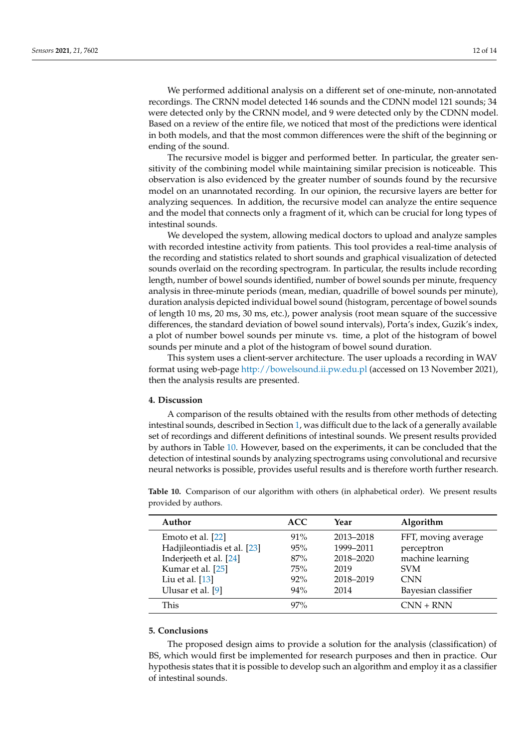We performed additional analysis on a different set of one-minute, non-annotated recordings. The CRNN model detected 146 sounds and the CDNN model 121 sounds; 34 were detected only by the CRNN model, and 9 were detected only by the CDNN model. Based on a review of the entire file, we noticed that most of the predictions were identical in both models, and that the most common differences were the shift of the beginning or ending of the sound.

The recursive model is bigger and performed better. In particular, the greater sensitivity of the combining model while maintaining similar precision is noticeable. This observation is also evidenced by the greater number of sounds found by the recursive model on an unannotated recording. In our opinion, the recursive layers are better for analyzing sequences. In addition, the recursive model can analyze the entire sequence and the model that connects only a fragment of it, which can be crucial for long types of intestinal sounds.

We developed the system, allowing medical doctors to upload and analyze samples with recorded intestine activity from patients. This tool provides a real-time analysis of the recording and statistics related to short sounds and graphical visualization of detected sounds overlaid on the recording spectrogram. In particular, the results include recording length, number of bowel sounds identified, number of bowel sounds per minute, frequency analysis in three-minute periods (mean, median, quadrille of bowel sounds per minute), duration analysis depicted individual bowel sound (histogram, percentage of bowel sounds of length 10 ms, 20 ms, 30 ms, etc.), power analysis (root mean square of the successive differences, the standard deviation of bowel sound intervals), Porta's index, Guzik's index, a plot of number bowel sounds per minute vs. time, a plot of the histogram of bowel sounds per minute and a plot of the histogram of bowel sound duration.

This system uses a client-server architecture. The user uploads a recording in WAV format using web-page <http://bowelsound.ii.pw.edu.pl> (accessed on 13 November 2021), then the analysis results are presented.

#### **4. Discussion**

A comparison of the results obtained with the results from other methods of detecting intestinal sounds, described in Section [1,](#page-0-0) was difficult due to the lack of a generally available set of recordings and different definitions of intestinal sounds. We present results provided by authors in Table [10.](#page-11-0) However, based on the experiments, it can be concluded that the detection of intestinal sounds by analyzing spectrograms using convolutional and recursive neural networks is possible, provides useful results and is therefore worth further research.

| Author                      | <b>ACC</b> | Year      | Algorithm           |
|-----------------------------|------------|-----------|---------------------|
| Emoto et al. [22]           | $91\%$     | 2013-2018 | FFT, moving average |
| Hadjileontiadis et al. [23] | 95%        | 1999-2011 | perceptron          |
| Inderjeeth et al. [24]      | 87%        | 2018-2020 | machine learning    |
| Kumar et al. [25]           | 75%        | 2019      | <b>SVM</b>          |
| Liu et al. $[13]$           | $92\%$     | 2018-2019 | <b>CNN</b>          |
| Ulusar et al. [9]           | $94\%$     | 2014      | Bayesian classifier |
| This                        | $97\%$     |           | $CNN + RNN$         |

<span id="page-11-0"></span>**Table 10.** Comparison of our algorithm with others (in alphabetical order). We present results provided by authors.

## **5. Conclusions**

The proposed design aims to provide a solution for the analysis (classification) of BS, which would first be implemented for research purposes and then in practice. Our hypothesis states that it is possible to develop such an algorithm and employ it as a classifier of intestinal sounds.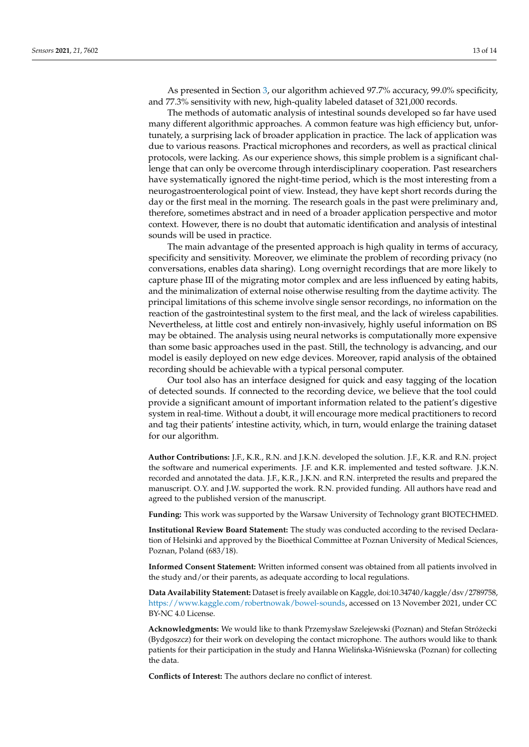As presented in Section [3,](#page-10-4) our algorithm achieved 97.7% accuracy, 99.0% specificity, and 77.3% sensitivity with new, high-quality labeled dataset of 321,000 records.

The methods of automatic analysis of intestinal sounds developed so far have used many different algorithmic approaches. A common feature was high efficiency but, unfortunately, a surprising lack of broader application in practice. The lack of application was due to various reasons. Practical microphones and recorders, as well as practical clinical protocols, were lacking. As our experience shows, this simple problem is a significant challenge that can only be overcome through interdisciplinary cooperation. Past researchers have systematically ignored the night-time period, which is the most interesting from a neurogastroenterological point of view. Instead, they have kept short records during the day or the first meal in the morning. The research goals in the past were preliminary and, therefore, sometimes abstract and in need of a broader application perspective and motor context. However, there is no doubt that automatic identification and analysis of intestinal sounds will be used in practice.

The main advantage of the presented approach is high quality in terms of accuracy, specificity and sensitivity. Moreover, we eliminate the problem of recording privacy (no conversations, enables data sharing). Long overnight recordings that are more likely to capture phase III of the migrating motor complex and are less influenced by eating habits, and the minimalization of external noise otherwise resulting from the daytime activity. The principal limitations of this scheme involve single sensor recordings, no information on the reaction of the gastrointestinal system to the first meal, and the lack of wireless capabilities. Nevertheless, at little cost and entirely non-invasively, highly useful information on BS may be obtained. The analysis using neural networks is computationally more expensive than some basic approaches used in the past. Still, the technology is advancing, and our model is easily deployed on new edge devices. Moreover, rapid analysis of the obtained recording should be achievable with a typical personal computer.

Our tool also has an interface designed for quick and easy tagging of the location of detected sounds. If connected to the recording device, we believe that the tool could provide a significant amount of important information related to the patient's digestive system in real-time. Without a doubt, it will encourage more medical practitioners to record and tag their patients' intestine activity, which, in turn, would enlarge the training dataset for our algorithm.

**Author Contributions:** J.F., K.R., R.N. and J.K.N. developed the solution. J.F., K.R. and R.N. project the software and numerical experiments. J.F. and K.R. implemented and tested software. J.K.N. recorded and annotated the data. J.F., K.R., J.K.N. and R.N. interpreted the results and prepared the manuscript. O.Y. and J.W. supported the work. R.N. provided funding. All authors have read and agreed to the published version of the manuscript.

**Funding:** This work was supported by the Warsaw University of Technology grant BIOTECHMED.

**Institutional Review Board Statement:** The study was conducted according to the revised Declaration of Helsinki and approved by the Bioethical Committee at Poznan University of Medical Sciences, Poznan, Poland (683/18).

**Informed Consent Statement:** Written informed consent was obtained from all patients involved in the study and/or their parents, as adequate according to local regulations.

**Data Availability Statement:** Dataset is freely available on Kaggle, doi:10.34740/kaggle/dsv/2789758, [https://www.kaggle.com/robertnowak/bowel-sounds,](https://www.kaggle.com/robertnowak/bowel-sounds) accessed on 13 November 2021, under CC BY-NC 4.0 License.

**Acknowledgments:** We would like to thank Przemysław Szelejewski (Poznan) and Stefan Strózecki ˙ (Bydgoszcz) for their work on developing the contact microphone. The authors would like to thank patients for their participation in the study and Hanna Wielińska-Wiśniewska (Poznan) for collecting the data.

**Conflicts of Interest:** The authors declare no conflict of interest.